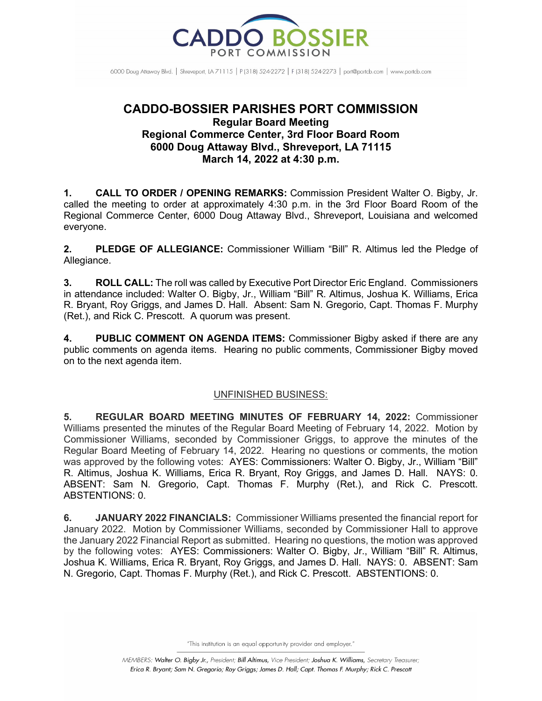

6000 Doug Attaway Blvd. | Shreveport, IA 71115 | P (318) 524-2272 | F (318) 524-2273 | port@portcb.com | www.portcb.com

## **CADDO-BOSSIER PARISHES PORT COMMISSION Regular Board Meeting Regional Commerce Center, 3rd Floor Board Room 6000 Doug Attaway Blvd., Shreveport, LA 71115 March 14, 2022 at 4:30 p.m.**

**1. CALL TO ORDER / OPENING REMARKS:** Commission President Walter O. Bigby, Jr. called the meeting to order at approximately 4:30 p.m. in the 3rd Floor Board Room of the Regional Commerce Center, 6000 Doug Attaway Blvd., Shreveport, Louisiana and welcomed everyone.

**2. PLEDGE OF ALLEGIANCE:** Commissioner William "Bill" R. Altimus led the Pledge of Allegiance.

**3. ROLL CALL:** The roll was called by Executive Port Director Eric England. Commissioners in attendance included: Walter O. Bigby, Jr., William "Bill" R. Altimus, Joshua K. Williams, Erica R. Bryant, Roy Griggs, and James D. Hall. Absent: Sam N. Gregorio, Capt. Thomas F. Murphy (Ret.), and Rick C. Prescott. A quorum was present.

**4. PUBLIC COMMENT ON AGENDA ITEMS:** Commissioner Bigby asked if there are any public comments on agenda items. Hearing no public comments, Commissioner Bigby moved on to the next agenda item.

## UNFINISHED BUSINESS:

**5. REGULAR BOARD MEETING MINUTES OF FEBRUARY 14, 2022:** Commissioner Williams presented the minutes of the Regular Board Meeting of February 14, 2022. Motion by Commissioner Williams, seconded by Commissioner Griggs, to approve the minutes of the Regular Board Meeting of February 14, 2022. Hearing no questions or comments, the motion was approved by the following votes: AYES: Commissioners: Walter O. Bigby, Jr., William "Bill" R. Altimus, Joshua K. Williams, Erica R. Bryant, Roy Griggs, and James D. Hall. NAYS: 0. ABSENT: Sam N. Gregorio, Capt. Thomas F. Murphy (Ret.), and Rick C. Prescott. ABSTENTIONS: 0.

**6. JANUARY 2022 FINANCIALS:** Commissioner Williams presented the financial report for January 2022. Motion by Commissioner Williams, seconded by Commissioner Hall to approve the January 2022 Financial Report as submitted. Hearing no questions, the motion was approved by the following votes: AYES: Commissioners: Walter O. Bigby, Jr., William "Bill" R. Altimus, Joshua K. Williams, Erica R. Bryant, Roy Griggs, and James D. Hall. NAYS: 0. ABSENT: Sam N. Gregorio, Capt. Thomas F. Murphy (Ret.), and Rick C. Prescott. ABSTENTIONS: 0.

"This institution is an equal opportunity provider and employer."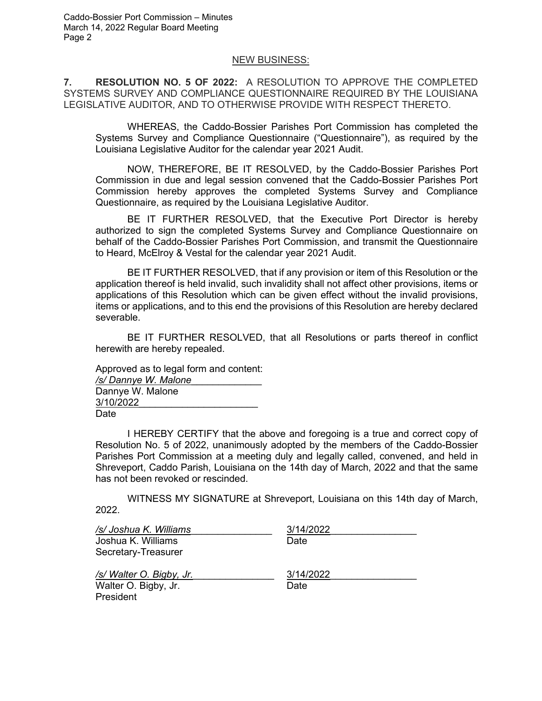## NEW BUSINESS:

**7. RESOLUTION NO. 5 OF 2022:** A RESOLUTION TO APPROVE THE COMPLETED SYSTEMS SURVEY AND COMPLIANCE QUESTIONNAIRE REQUIRED BY THE LOUISIANA LEGISLATIVE AUDITOR, AND TO OTHERWISE PROVIDE WITH RESPECT THERETO.

WHEREAS, the Caddo-Bossier Parishes Port Commission has completed the Systems Survey and Compliance Questionnaire ("Questionnaire"), as required by the Louisiana Legislative Auditor for the calendar year 2021 Audit.

NOW, THEREFORE, BE IT RESOLVED, by the Caddo-Bossier Parishes Port Commission in due and legal session convened that the Caddo-Bossier Parishes Port Commission hereby approves the completed Systems Survey and Compliance Questionnaire, as required by the Louisiana Legislative Auditor.

BE IT FURTHER RESOLVED, that the Executive Port Director is hereby authorized to sign the completed Systems Survey and Compliance Questionnaire on behalf of the Caddo-Bossier Parishes Port Commission, and transmit the Questionnaire to Heard, McElroy & Vestal for the calendar year 2021 Audit.

BE IT FURTHER RESOLVED, that if any provision or item of this Resolution or the application thereof is held invalid, such invalidity shall not affect other provisions, items or applications of this Resolution which can be given effect without the invalid provisions, items or applications, and to this end the provisions of this Resolution are hereby declared severable.

BE IT FURTHER RESOLVED, that all Resolutions or parts thereof in conflict herewith are hereby repealed.

Approved as to legal form and content: */s/ Dannye W. Malone*\_\_\_\_\_\_\_\_\_\_\_\_\_ Dannye W. Malone 3/10/2022\_\_\_\_\_\_\_\_\_\_\_\_\_\_\_\_\_\_\_\_\_\_ Date

I HEREBY CERTIFY that the above and foregoing is a true and correct copy of Resolution No. 5 of 2022, unanimously adopted by the members of the Caddo-Bossier Parishes Port Commission at a meeting duly and legally called, convened, and held in Shreveport, Caddo Parish, Louisiana on the 14th day of March, 2022 and that the same has not been revoked or rescinded.

WITNESS MY SIGNATURE at Shreveport, Louisiana on this 14th day of March, 2022.

| /s/ Joshua K. Williams  | 3/14/2022 |  |
|-------------------------|-----------|--|
| Joshua K. Williams      | Date      |  |
| Secretary-Treasurer     |           |  |
| /s/Walter O. Bigby, Jr. | 3/14/2022 |  |
| Walter O. Bigby, Jr.    | Date      |  |
| President               |           |  |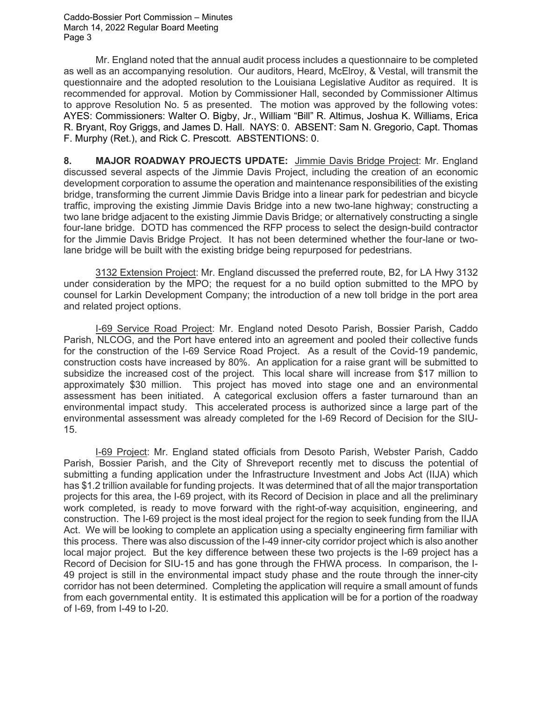Caddo-Bossier Port Commission – Minutes March 14, 2022 Regular Board Meeting Page 3

Mr. England noted that the annual audit process includes a questionnaire to be completed as well as an accompanying resolution. Our auditors, Heard, McElroy, & Vestal, will transmit the questionnaire and the adopted resolution to the Louisiana Legislative Auditor as required. It is recommended for approval. Motion by Commissioner Hall, seconded by Commissioner Altimus to approve Resolution No. 5 as presented. The motion was approved by the following votes: AYES: Commissioners: Walter O. Bigby, Jr., William "Bill" R. Altimus, Joshua K. Williams, Erica R. Bryant, Roy Griggs, and James D. Hall. NAYS: 0. ABSENT: Sam N. Gregorio, Capt. Thomas F. Murphy (Ret.), and Rick C. Prescott. ABSTENTIONS: 0.

**8. MAJOR ROADWAY PROJECTS UPDATE:** Jimmie Davis Bridge Project: Mr. England discussed several aspects of the Jimmie Davis Project, including the creation of an economic development corporation to assume the operation and maintenance responsibilities of the existing bridge, transforming the current Jimmie Davis Bridge into a linear park for pedestrian and bicycle traffic, improving the existing Jimmie Davis Bridge into a new two-lane highway; constructing a two lane bridge adjacent to the existing Jimmie Davis Bridge; or alternatively constructing a single four-lane bridge. DOTD has commenced the RFP process to select the design-build contractor for the Jimmie Davis Bridge Project. It has not been determined whether the four-lane or twolane bridge will be built with the existing bridge being repurposed for pedestrians.

3132 Extension Project: Mr. England discussed the preferred route, B2, for LA Hwy 3132 under consideration by the MPO; the request for a no build option submitted to the MPO by counsel for Larkin Development Company; the introduction of a new toll bridge in the port area and related project options.

I-69 Service Road Project: Mr. England noted Desoto Parish, Bossier Parish, Caddo Parish, NLCOG, and the Port have entered into an agreement and pooled their collective funds for the construction of the I-69 Service Road Project. As a result of the Covid-19 pandemic, construction costs have increased by 80%. An application for a raise grant will be submitted to subsidize the increased cost of the project. This local share will increase from \$17 million to approximately \$30 million. This project has moved into stage one and an environmental assessment has been initiated. A categorical exclusion offers a faster turnaround than an environmental impact study. This accelerated process is authorized since a large part of the environmental assessment was already completed for the I-69 Record of Decision for the SIU-15.

I-69 Project: Mr. England stated officials from Desoto Parish, Webster Parish, Caddo Parish, Bossier Parish, and the City of Shreveport recently met to discuss the potential of submitting a funding application under the Infrastructure Investment and Jobs Act (IIJA) which has \$1.2 trillion available for funding projects. It was determined that of all the major transportation projects for this area, the I-69 project, with its Record of Decision in place and all the preliminary work completed, is ready to move forward with the right-of-way acquisition, engineering, and construction. The I-69 project is the most ideal project for the region to seek funding from the IIJA Act. We will be looking to complete an application using a specialty engineering firm familiar with this process. There was also discussion of the I-49 inner-city corridor project which is also another local major project. But the key difference between these two projects is the I-69 project has a Record of Decision for SIU-15 and has gone through the FHWA process. In comparison, the I-49 project is still in the environmental impact study phase and the route through the inner-city corridor has not been determined. Completing the application will require a small amount of funds from each governmental entity. It is estimated this application will be for a portion of the roadway of I-69, from I-49 to I-20.